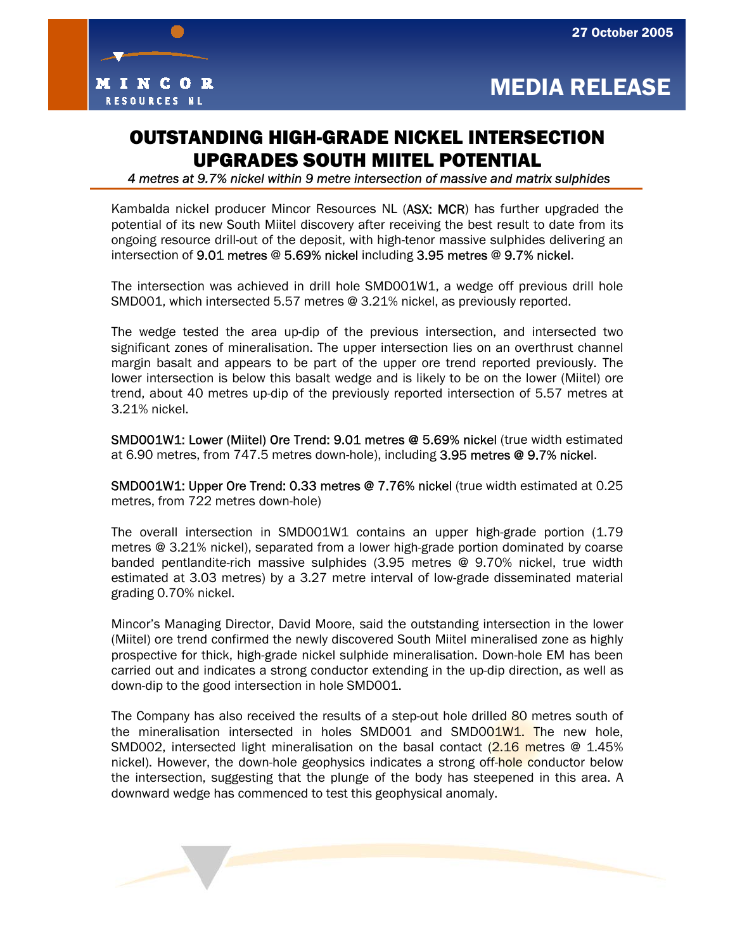

## OUTSTANDING HIGH-GRADE NICKEL INTERSECTION UPGRADES SOUTH MIITEL POTENTIAL

 *4 metres at 9.7% nickel within 9 metre intersection of massive and matrix sulphides* 

Kambalda nickel producer Mincor Resources NL (ASX: MCR) has further upgraded the potential of its new South Miitel discovery after receiving the best result to date from its ongoing resource drill-out of the deposit, with high-tenor massive sulphides delivering an intersection of 9.01 metres @ 5.69% nickel including 3.95 metres @ 9.7% nickel.

The intersection was achieved in drill hole SMD001W1, a wedge off previous drill hole SMD001, which intersected 5.57 metres @ 3.21% nickel, as previously reported.

The wedge tested the area up-dip of the previous intersection, and intersected two significant zones of mineralisation. The upper intersection lies on an overthrust channel margin basalt and appears to be part of the upper ore trend reported previously. The lower intersection is below this basalt wedge and is likely to be on the lower (Miitel) ore trend, about 40 metres up-dip of the previously reported intersection of 5.57 metres at 3.21% nickel.

SMD001W1: Lower (Miitel) Ore Trend: 9.01 metres @ 5.69% nickel (true width estimated at 6.90 metres, from 747.5 metres down-hole), including 3.95 metres @ 9.7% nickel.

SMD001W1: Upper Ore Trend: 0.33 metres @ 7.76% nickel (true width estimated at 0.25 metres, from 722 metres down-hole)

The overall intersection in SMD001W1 contains an upper high-grade portion (1.79 metres @ 3.21% nickel), separated from a lower high-grade portion dominated by coarse banded pentlandite-rich massive sulphides (3.95 metres @ 9.70% nickel, true width estimated at 3.03 metres) by a 3.27 metre interval of low-grade disseminated material grading 0.70% nickel.

Mincor's Managing Director, David Moore, said the outstanding intersection in the lower (Miitel) ore trend confirmed the newly discovered South Miitel mineralised zone as highly prospective for thick, high-grade nickel sulphide mineralisation. Down-hole EM has been carried out and indicates a strong conductor extending in the up-dip direction, as well as down-dip to the good intersection in hole SMD001.

The Company has also received the results of a step-out hole drilled 80 metres south of the mineralisation intersected in holes SMD001 and SMD001W1. The new hole, SMD002, intersected light mineralisation on the basal contact  $(2.16$  metres @ 1.45% nickel). However, the down-hole geophysics indicates a strong off-hole conductor below the intersection, suggesting that the plunge of the body has steepened in this area. A downward wedge has commenced to test this geophysical anomaly.